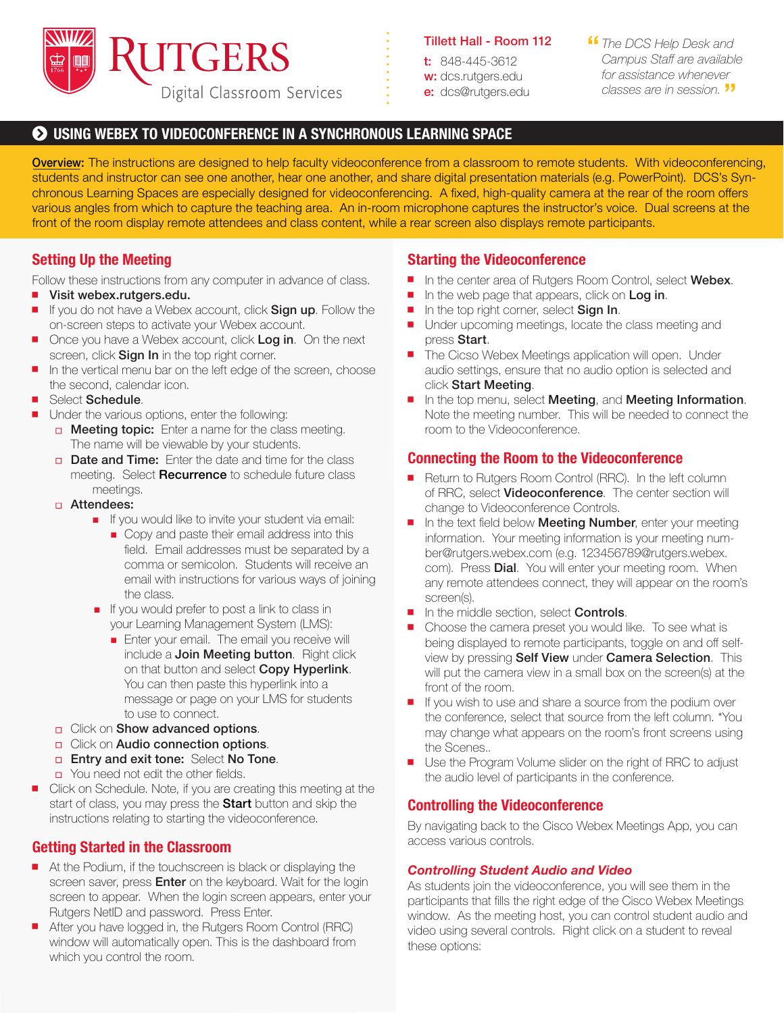

#### Tillett Hall - Room 112

t: 848-445-3612 w: dcs.rutgers.edu e: dcs@rutgers.edu **ff** The DCS Help Desk and<br>Campus Staff are available *Campus Staff are available for assistance whenever classes are in session.* "

### $\odot$  **USING WEBEX TO VIDEOCONFERENCE IN A SYNCHRONOUS LEARNING SPACE**

Overview: The instructions are designed to help faculty videoconference from a classroom to remote students. With videoconferencing, students and instructor can see one another, hear one another, and share digital presentation materials (e.g. PowerPoint). DCS's Synchronous Learning Spaces are especially designed for videoconferencing. A fixed, high-quality camera at the rear of the room offers various angles from which to capture the teaching area. An in-room microphone captures the instructor's voice. Dual screens at the front of the room display remote attendees and class content, while a rear screen also displays remote participants.

# **Setting Up the Meeting**

Follow these instructions from any computer in advance of class.

- Visit webex.rutgers.edu.
- If you do not have a Webex account, click **Sign up**. Follow the on-screen steps to activate your Webex account.
- Once you have a Webex account, click Log in. On the next screen, click **Sign In** in the top right corner.
- $\blacksquare$  In the vertical menu bar on the left edge of the screen, choose the second, calendar icon.
- Select Schedule.
- **Julie** Under the various options, enter the following:
	- **In Meeting topic:** Enter a name for the class meeting. The name will be viewable by your students.
	- Date and Time: Enter the date and time for the class meeting. Select **Recurrence** to schedule future class meetings.
	- Attendees:
		- If you would like to invite your student via email:
			- Copy and paste their email address into this field. Email addresses must be separated by a comma or semicolon. Students will receive an email with instructions for various ways of joining the class.
		- If you would prefer to post a link to class in your Learning Management System (LMS):
			- **Enter your email. The email you receive will** include a Join Meeting button. Right click on that button and select Copy Hyperlink. You can then paste this hyperlink into a message or page on your LMS for students to use to connect.
	- **D** Click on **Show advanced options**.
	- **D** Click on **Audio connection options**.
	- **Entry and exit tone: Select No Tone.**
	- You need not edit the other fields.
- Click on Schedule. Note, if you are creating this meeting at the start of class, you may press the **Start** button and skip the instructions relating to starting the videoconference.

# **Getting Started in the Classroom**

- $\blacksquare$  At the Podium, if the touchscreen is black or displaying the screen saver, press **Enter** on the keyboard. Wait for the login screen to appear. When the login screen appears, enter your Rutgers NetID and password. Press Enter.
- After you have logged in, the Rutgers Room Control (RRC) window will automatically open. This is the dashboard from which you control the room.

### **Starting the Videoconference**

- In the center area of Rutgers Room Control, select Webex.
- In the web page that appears, click on Log in.
- In the top right corner, select Sign In.
- Under upcoming meetings, locate the class meeting and press Start.
- **The Cicso Webex Meetings application will open. Under** audio settings, ensure that no audio option is selected and click Start Meeting.
- In the top menu, select Meeting, and Meeting Information. Note the meeting number. This will be needed to connect the room to the Videoconference.

### **Connecting the Room to the Videoconference**

- Return to Rutgers Room Control (RRC). In the left column of RRC, select **Videoconference**. The center section will change to Videoconference Controls.
- $\blacksquare$  In the text field below **Meeting Number**, enter your meeting information. Your meeting information is your meeting number@rutgers.webex.com (e.g. 123456789@rutgers.webex. com). Press **Dial**. You will enter your meeting room. When any remote attendees connect, they will appear on the room's screen(s).
- In the middle section, select **Controls**.
- $\blacksquare$  Choose the camera preset you would like. To see what is being displayed to remote participants, toggle on and off selfview by pressing Self View under Camera Selection. This will put the camera view in a small box on the screen(s) at the front of the room.
- $\blacksquare$  If you wish to use and share a source from the podium over the conference, select that source from the left column. \*You may change what appears on the room's front screens using the Scenes..
- Use the Program Volume slider on the right of RRC to adjust the audio level of participants in the conference.

# **Controlling the Videoconference**

By navigating back to the Cisco Webex Meetings App, you can access various controls.

#### *Controlling Student Audio and Video*

As students join the videoconference, you will see them in the participants that fills the right edge of the Cisco Webex Meetings window. As the meeting host, you can control student audio and video using several controls. Right click on a student to reveal these options: